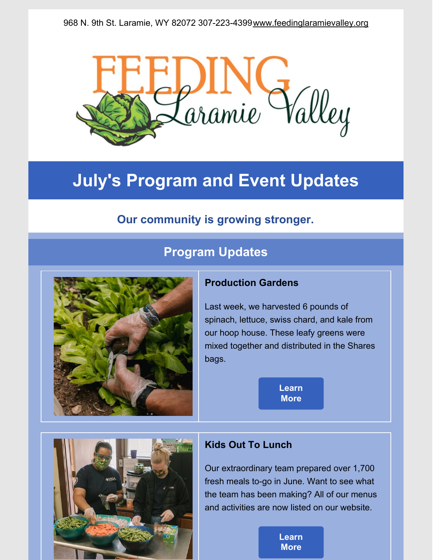

# **July's Program and Event Updates**

# **Our community is growing stronger.**

# **Program Updates**



#### **Production Gardens**

Last week, we harvested 6 pounds of spinach, lettuce, swiss chard, and kale from our hoop house. These leafy greens were mixed together and distributed in the Shares bags.

> **[Learn](https://www.feedinglaramievalley.org/flv-shares) More**



### **Kids Out To Lunch**

Our extraordinary team prepared over 1,700 fresh meals to-go in June. Want to see what the team has been making? All of our menus and activities are now listed on our website.

> **[Learn](https://www.feedinglaramievalley.org/kids-out-to-lunch) More**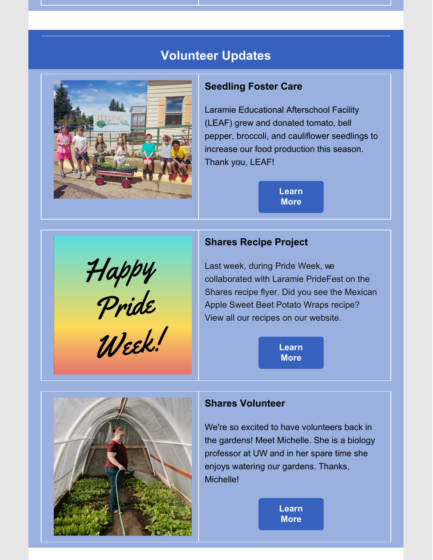## **Volunteer Updates**



#### **Seedling Foster Care**

Laramie Educational Afterschool Facility (LEAF) grew and donated tomato, bell pepper, broccoli, and cauliflower seedlings to increase our food production this season. Thank you, LEAF!

> **[Learn](https://www.feedinglaramievalley.org/seedlingfostercare) More**

### **Shares Recipe Project**

Last week, during Pride Week, we collaborated with Laramie PrideFest on the Shares recipe flyer. Did you see the Mexican Apple Sweet Beet Potato Wraps recipe? View all our recipes on our website.

> **[Learn](https://www.feedinglaramievalley.org/shares-recipe-library) More**



Happy<br>Pride<br>Week!

#### **Shares Volunteer**

We're so excited to have volunteers back in the gardens! Meet Michelle. She is a biology professor at UW and in her spare time she enjoys watering our gardens. Thanks, Michelle!

> **[Learn](https://www.feedinglaramievalley.org/volunteer) More**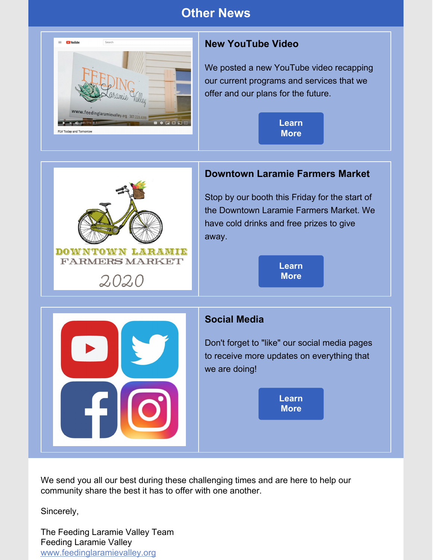## **Other News**



### **New YouTube Video**

We posted a new YouTube video recapping our current programs and services that we offer and our plans for the future.

> **[Learn](https://www.youtube.com/watch?v=0DvG8GKPqaY&feature=youtu.be) More**



We send you all our best during these challenging times and are here to help our community share the best it has to offer with one another.

Sincerely,

The Feeding Laramie Valley Team Feeding Laramie Valley [www.feedinglaramievalley.org](http://www.feedinglaramievalley.org)